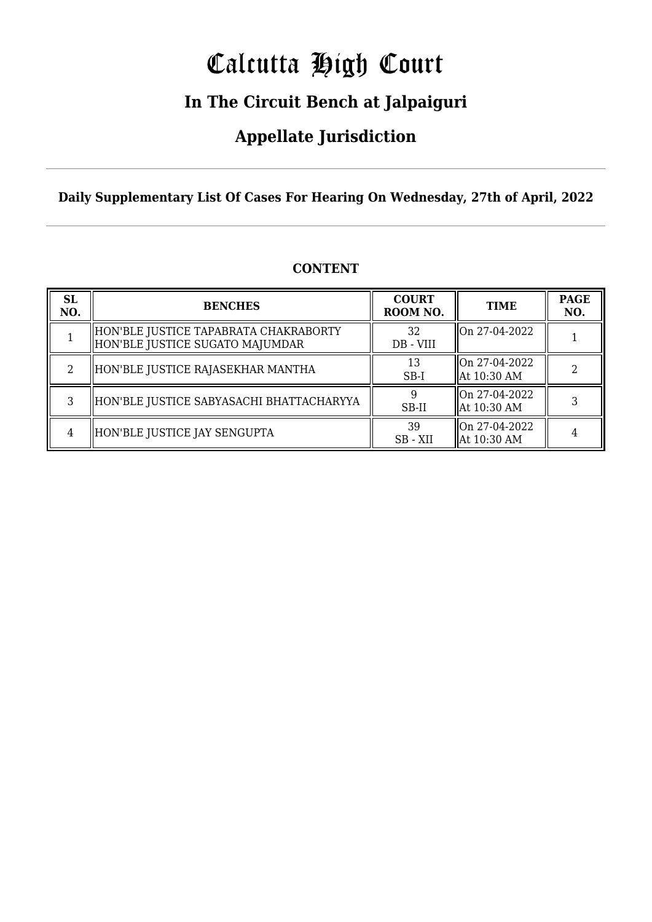# Calcutta High Court

### **In The Circuit Bench at Jalpaiguri**

### **Appellate Jurisdiction**

**Daily Supplementary List Of Cases For Hearing On Wednesday, 27th of April, 2022**

| <b>SL</b><br>NO. | <b>BENCHES</b>                                                           | <b>COURT</b><br>ROOM NO. | <b>TIME</b>                      | <b>PAGE</b><br>NO. |
|------------------|--------------------------------------------------------------------------|--------------------------|----------------------------------|--------------------|
|                  | HON'BLE JUSTICE TAPABRATA CHAKRABORTY<br>HON'BLE JUSTICE SUGATO MAJUMDAR | 32<br>DB - VIII          | On 27-04-2022                    |                    |
|                  | HON'BLE JUSTICE RAJASEKHAR MANTHA                                        | 13<br>$SB-I$             | lon 27-04-2022<br>  At 10:30 AM  |                    |
|                  | HON'BLE JUSTICE SABYASACHI BHATTACHARYYA                                 | SB-II                    | llOn 27-04-2022<br>  At 10:30 AM |                    |
| 4                | HON'BLE JUSTICE JAY SENGUPTA                                             | 39<br>SB - XII           | On 27-04-2022<br>  At 10:30 AM   |                    |

#### **CONTENT**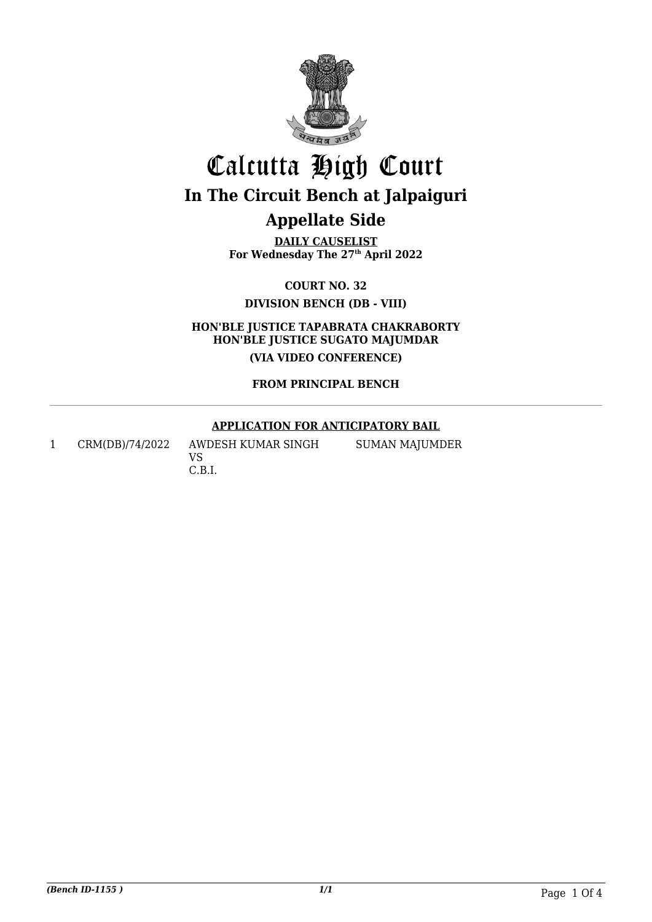

**DAILY CAUSELIST For Wednesday The 27th April 2022**

**COURT NO. 32**

**DIVISION BENCH (DB - VIII)**

**HON'BLE JUSTICE TAPABRATA CHAKRABORTY HON'BLE JUSTICE SUGATO MAJUMDAR (VIA VIDEO CONFERENCE)**

#### **FROM PRINCIPAL BENCH**

#### **APPLICATION FOR ANTICIPATORY BAIL**

SUMAN MAJUMDER

1 CRM(DB)/74/2022 AWDESH KUMAR SINGH

VS C.B.I.

*(Bench ID-1155 ) 1/1* Page 1 Of 4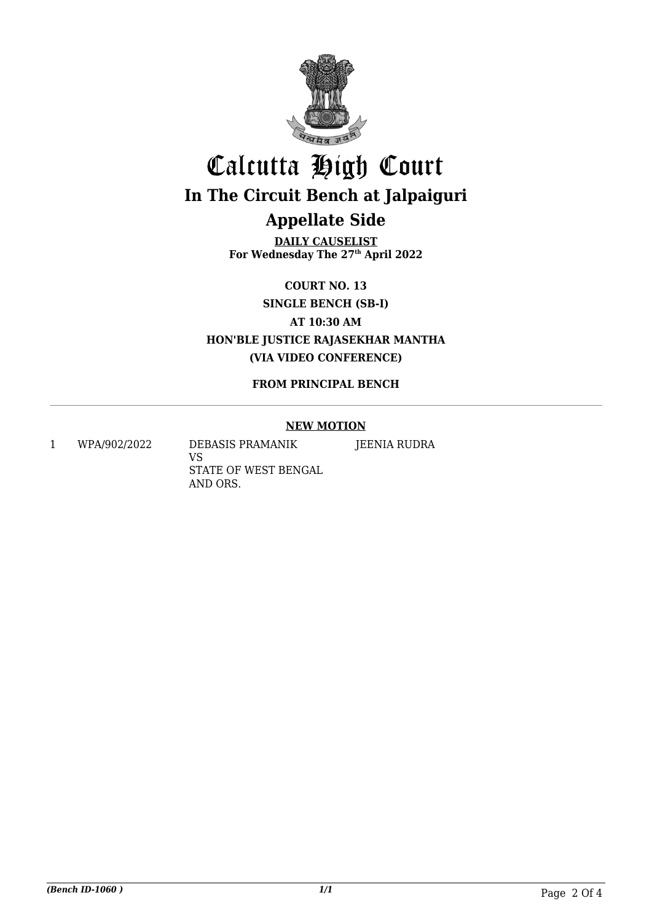

**DAILY CAUSELIST For Wednesday The 27th April 2022**

**COURT NO. 13**

**SINGLE BENCH (SB-I)**

**AT 10:30 AM**

**HON'BLE JUSTICE RAJASEKHAR MANTHA (VIA VIDEO CONFERENCE)**

#### **FROM PRINCIPAL BENCH**

#### **NEW MOTION**

JEENIA RUDRA

1 WPA/902/2022 DEBASIS PRAMANIK

VS STATE OF WEST BENGAL AND ORS.

*(Bench ID-1060 ) 1/1* Page 2 Of 4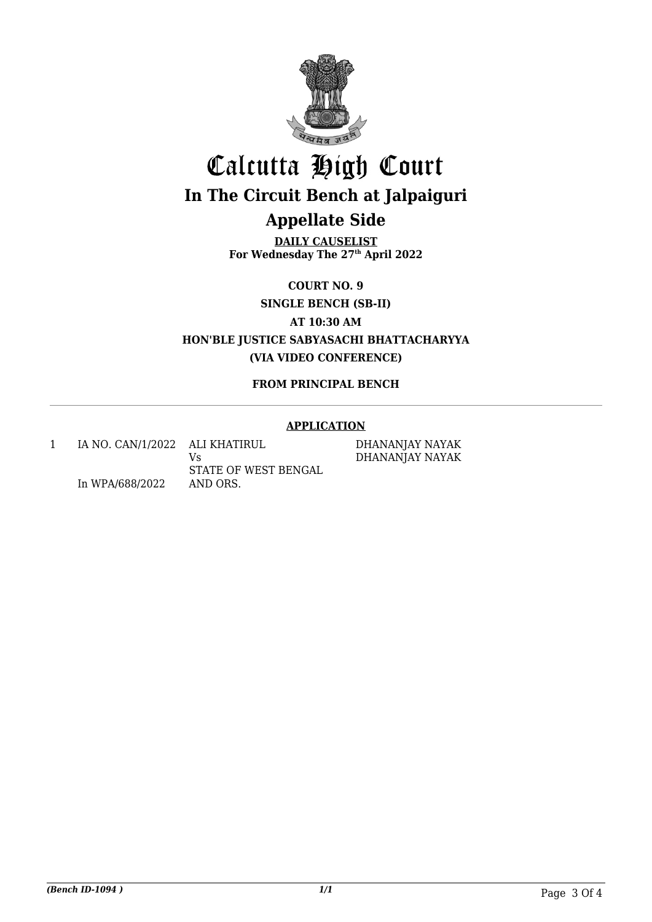

**DAILY CAUSELIST For Wednesday The 27th April 2022**

**COURT NO. 9**

**SINGLE BENCH (SB-II)**

**AT 10:30 AM**

**HON'BLE JUSTICE SABYASACHI BHATTACHARYYA (VIA VIDEO CONFERENCE)**

#### **FROM PRINCIPAL BENCH**

#### **APPLICATION**

1 IA NO. CAN/1/2022 ALI KHATIRUL In WPA/688/2022 Vs STATE OF WEST BENGAL AND ORS.

DHANANJAY NAYAK DHANANJAY NAYAK

*(Bench ID-1094 ) 1/1* Page 3 Of 4